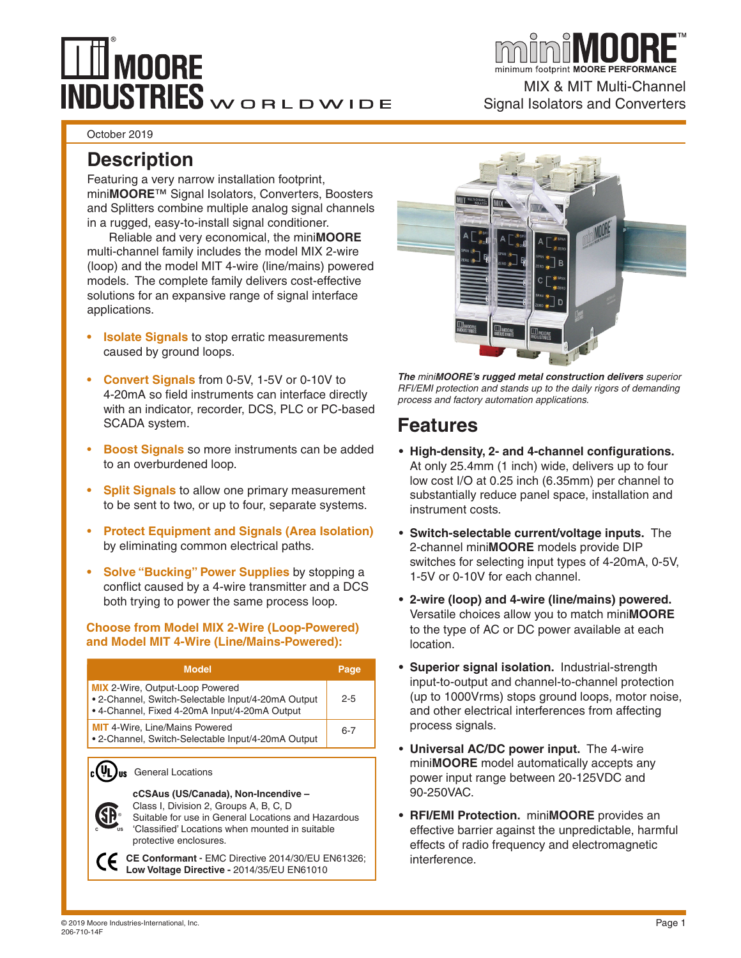# $\mathop{\mathsf{M00RE}}$ INDUSTRIES WORLDWIDE

October 2019

### **Description**

Featuring a very narrow installation footprint, mini**MOORE**™ Signal Isolators, Converters, Boosters and Splitters combine multiple analog signal channels in a rugged, easy-to-install signal conditioner.

Reliable and very economical, the mini**MOORE** multi-channel family includes the model MIX 2-wire (loop) and the model MIT 4-wire (line/mains) powered models. The complete family delivers cost-effective solutions for an expansive range of signal interface applications.

- **Isolate Signals** to stop erratic measurements caused by ground loops.
- **• Convert Signals** from 0-5V, 1-5V or 0-10V to 4-20mA so field instruments can interface directly with an indicator, recorder, DCS, PLC or PC-based SCADA system.
- **Boost Signals** so more instruments can be added to an overburdened loop.
- **Split Signals** to allow one primary measurement to be sent to two, or up to four, separate systems.
- **Protect Equipment and Signals (Area Isolation)** by eliminating common electrical paths.
- **• Solve "Bucking" Power Supplies** by stopping a conflict caused by a 4-wire transmitter and a DCS both trying to power the same process loop.

### **Choose from Model MIX 2-Wire (Loop-Powered) and Model MIT 4-Wire (Line/Mains-Powered):**

|                                                                                                                                                                                                                                 | <b>Model</b>             | Page |  |  |  |  |
|---------------------------------------------------------------------------------------------------------------------------------------------------------------------------------------------------------------------------------|--------------------------|------|--|--|--|--|
| <b>MIX</b> 2-Wire, Output-Loop Powered<br>• 2-Channel, Switch-Selectable Input/4-20mA Output<br>• 4-Channel, Fixed 4-20mA Input/4-20mA Output                                                                                   | $2 - 5$                  |      |  |  |  |  |
| <b>MIT</b> 4-Wire, Line/Mains Powered<br>• 2-Channel, Switch-Selectable Input/4-20mA Output                                                                                                                                     | $6 - 7$                  |      |  |  |  |  |
| US                                                                                                                                                                                                                              | <b>General Locations</b> |      |  |  |  |  |
| cCSAus (US/Canada), Non-Incendive -<br>Class I, Division 2, Groups A, B, C, D<br>Suitable for use in General Locations and Hazardous<br>'Classified' Locations when mounted in suitable<br><b>IIS</b><br>protective enclosures. |                          |      |  |  |  |  |

**CE Conformant -** EMC Directive 2014/30/EU EN61326; **Low Voltage Directive -** 2014/35/EU EN61010



MIX & MIT Multi-Channel

Signal Isolators and Converters

*The miniMOORE's rugged metal construction delivers superior RFI/EMI protection and stands up to the daily rigors of demanding process and factory automation applications.*

### **Features**

- **• High-density, 2- and 4-channel configurations.**  At only 25.4mm (1 inch) wide, delivers up to four low cost I/O at 0.25 inch (6.35mm) per channel to substantially reduce panel space, installation and instrument costs.
- **Switch-selectable current/voltage inputs.** The 2-channel mini**MOORE** models provide DIP switches for selecting input types of 4-20mA, 0-5V, 1-5V or 0-10V for each channel.
- **• 2-wire (loop) and 4-wire (line/mains) powered.**  Versatile choices allow you to match mini**MOORE** to the type of AC or DC power available at each location.
- **• Superior signal isolation.** Industrial-strength input-to-output and channel-to-channel protection (up to 1000Vrms) stops ground loops, motor noise, and other electrical interferences from affecting process signals.
- **Universal AC/DC power input.** The 4-wire mini**MOORE** model automatically accepts any power input range between 20-125VDC and 90-250VAC.
- **• RFI/EMI Protection.** mini**MOORE** provides an effective barrier against the unpredictable, harmful effects of radio frequency and electromagnetic interference.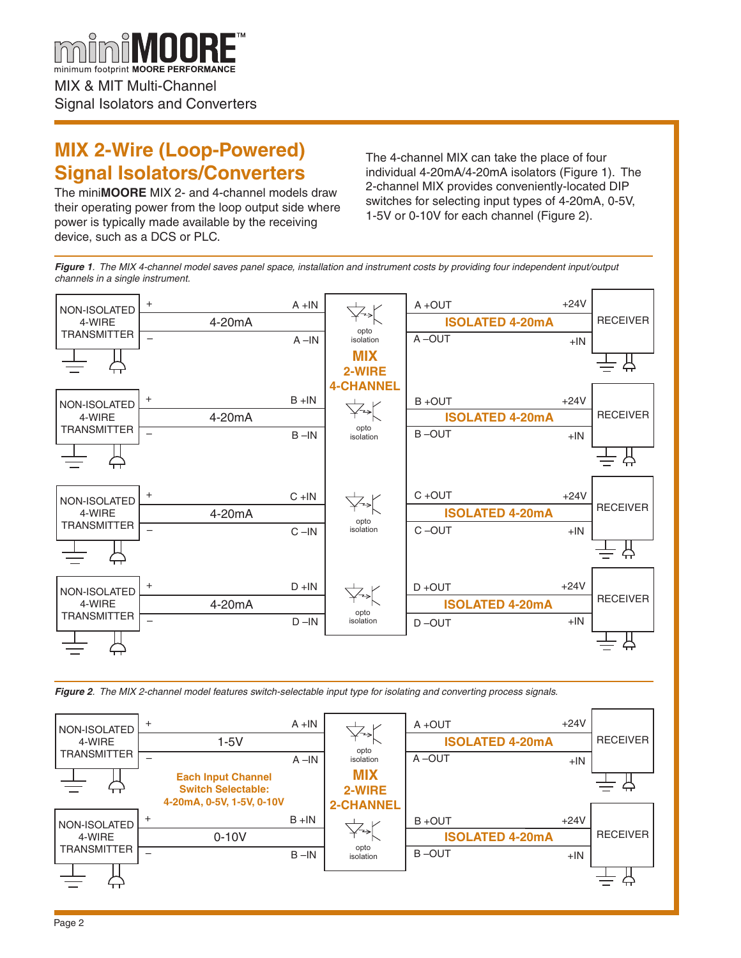

### **MIX 2-Wire (Loop-Powered) Signal Isolators/Converters**

The mini**MOORE** MIX 2- and 4-channel models draw their operating power from the loop output side where power is typically made available by the receiving device, such as a DCS or PLC.

The 4-channel MIX can take the place of four individual 4-20mA/4-20mA isolators (Figure 1). The 2-channel MIX provides conveniently-located DIP switches for selecting input types of 4-20mA, 0-5V, 1-5V or 0-10V for each channel (Figure 2).

*Figure 1. The MIX 4-channel model saves panel space, installation and instrument costs by providing four independent input/output channels in a single instrument.*



*Figure 2. The MIX 2-channel model features switch-selectable input type for isolating and converting process signals.*

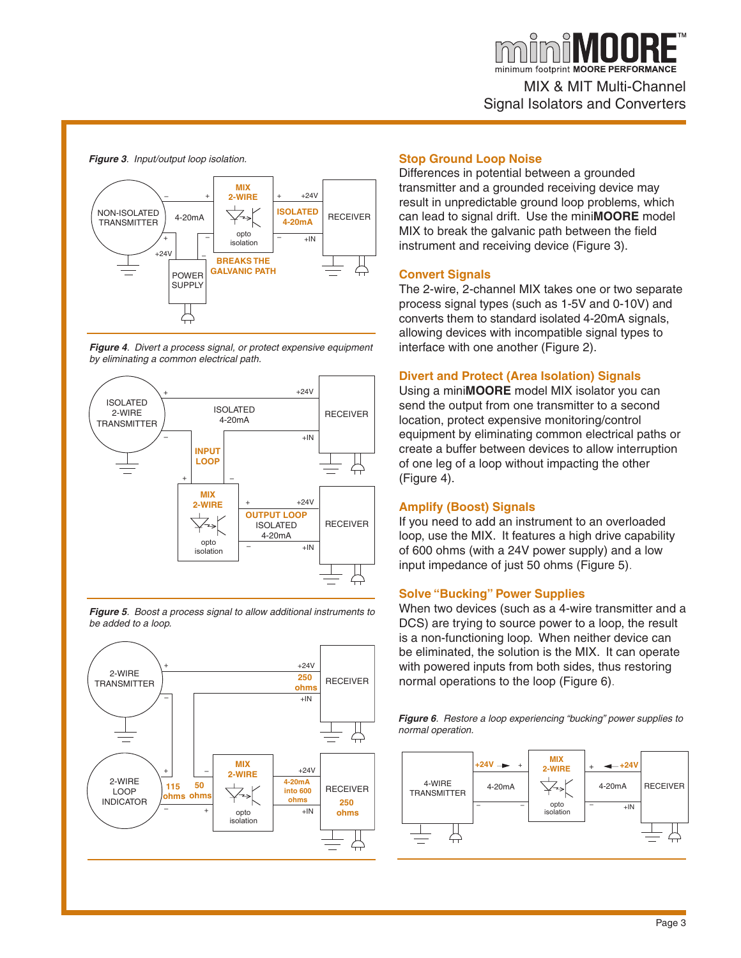

### *Figure 3. Input/output loop isolation.*











#### **Stop Ground Loop Noise**

Differences in potential between a grounded transmitter and a grounded receiving device may result in unpredictable ground loop problems, which can lead to signal drift. Use the mini**MOORE** model MIX to break the galvanic path between the field instrument and receiving device (Figure 3).

#### **Convert Signals**

The 2-wire, 2-channel MIX takes one or two separate process signal types (such as 1-5V and 0-10V) and converts them to standard isolated 4-20mA signals, allowing devices with incompatible signal types to interface with one another (Figure 2).

#### **Divert and Protect (Area Isolation) Signals**

Using a mini**MOORE** model MIX isolator you can send the output from one transmitter to a second location, protect expensive monitoring/control equipment by eliminating common electrical paths or create a buffer between devices to allow interruption of one leg of a loop without impacting the other (Figure 4).

#### **Amplify (Boost) Signals**

If you need to add an instrument to an overloaded loop, use the MIX. It features a high drive capability of 600 ohms (with a 24V power supply) and a low input impedance of just 50 ohms (Figure 5).

### **Solve "Bucking" Power Supplies**

When two devices (such as a 4-wire transmitter and a DCS) are trying to source power to a loop, the result is a non-functioning loop. When neither device can be eliminated, the solution is the MIX. It can operate with powered inputs from both sides, thus restoring normal operations to the loop (Figure 6).

*Figure 6. Restore a loop experiencing "bucking" power supplies to normal operation.*

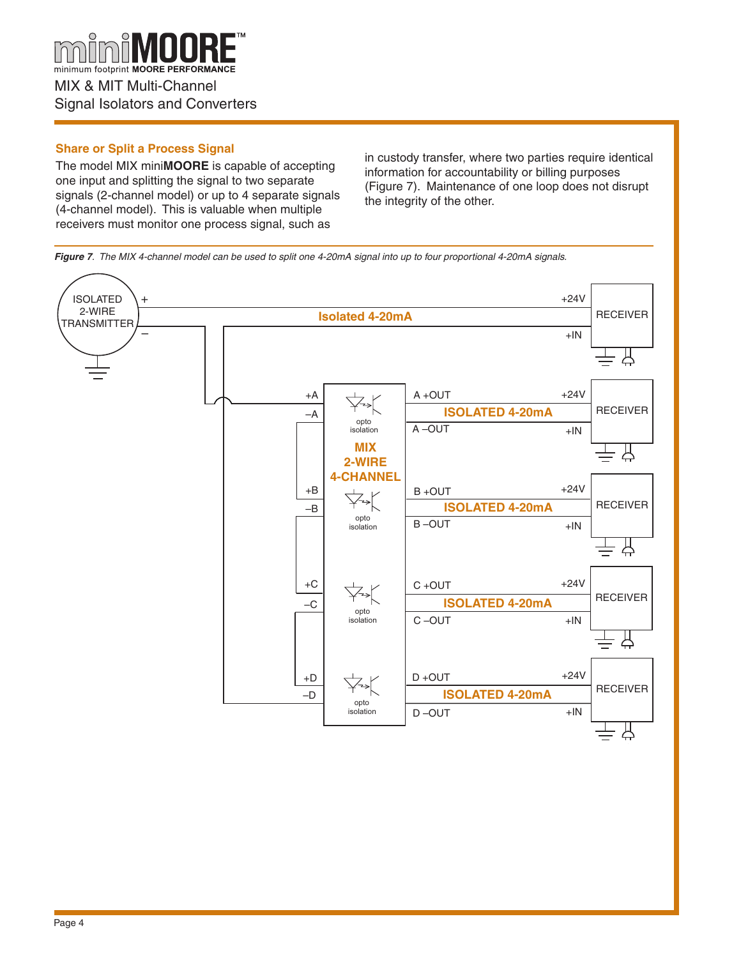

### **Share or Split a Process Signal**

The model MIX mini**MOORE** is capable of accepting one input and splitting the signal to two separate signals (2-channel model) or up to 4 separate signals (4-channel model). This is valuable when multiple receivers must monitor one process signal, such as

in custody transfer, where two parties require identical information for accountability or billing purposes (Figure 7). Maintenance of one loop does not disrupt the integrity of the other.

*Figure 7. The MIX 4-channel model can be used to split one 4-20mA signal into up to four proportional 4-20mA signals.*

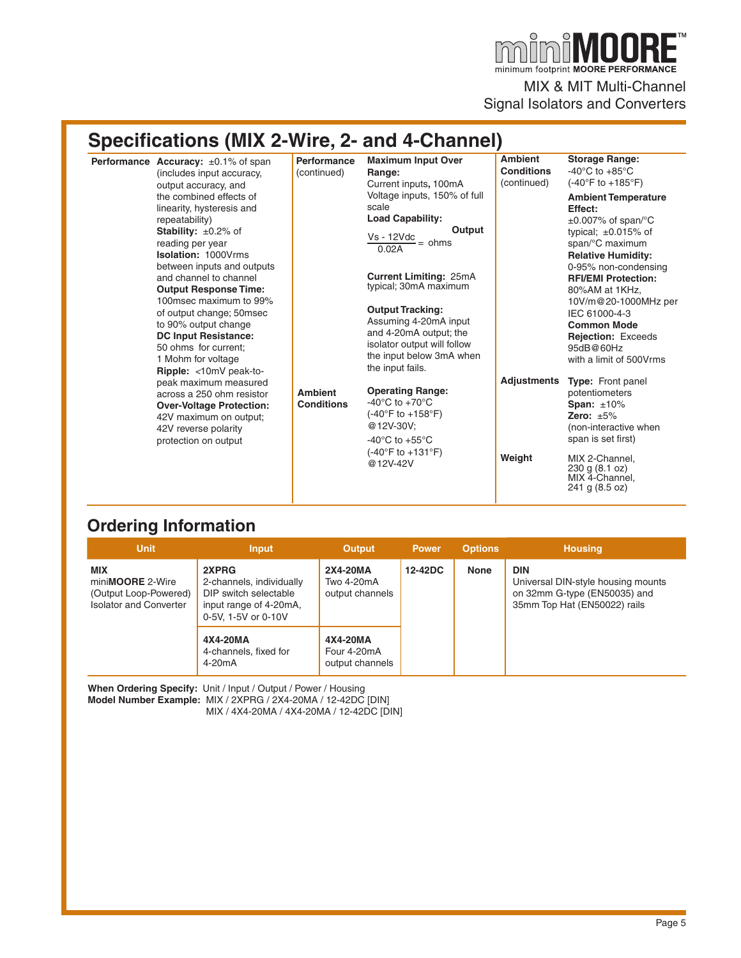$\mathbf{F}^{\text{TM}}$ MNN minimum footprint MOORE PERFORMANCE MIX & MIT Multi-Channel Signal Isolators and Converters

### **Specifications (MIX 2-Wire, 2- and 4-Channel)**

| <b>Performance Accuracy:</b> $\pm 0.1\%$ of span<br>(includes input accuracy,<br>output accuracy, and<br>the combined effects of<br>linearity, hysteresis and<br>repeatability)<br><b>Stability:</b> $\pm 0.2\%$ of<br>reading per year<br><b>Isolation: 1000Vrms</b><br>between inputs and outputs<br>and channel to channel<br><b>Output Response Time:</b><br>100msec maximum to 99%<br>of output change; 50msec<br>to 90% output change<br><b>DC Input Resistance:</b><br>50 ohms for current:<br>1 Mohm for voltage<br>Ripple: <10mV peak-to-<br>peak maximum measured<br>across a 250 ohm resistor<br><b>Over-Voltage Protection:</b><br>42V maximum on output;<br>42V reverse polarity<br>protection on output | <b>Performance</b><br>(continued)<br><b>Ambient</b><br><b>Conditions</b> | <b>Maximum Input Over</b><br>Range:<br>Current inputs, 100mA<br>Voltage inputs, 150% of full<br>scale<br><b>Load Capability:</b><br>Output<br>Vs - 12Vdc<br>$\tilde{=}$ = ohms<br>0.02A<br><b>Current Limiting: 25mA</b><br>typical; 30mA maximum<br><b>Output Tracking:</b><br>Assuming 4-20mA input<br>and 4-20mA output; the<br>isolator output will follow<br>the input below 3mA when<br>the input fails.<br><b>Operating Range:</b><br>-40 $^{\circ}$ C to +70 $^{\circ}$ C<br>$(-40^{\circ}$ F to $+158^{\circ}$ F)<br>@12V-30V:<br>-40 $^{\circ}$ C to +55 $^{\circ}$ C | <b>Ambient</b><br><b>Conditions</b><br>(continued)<br><b>Adjustments</b> | <b>Storage Range:</b><br>-40 $^{\circ}$ C to +85 $^{\circ}$ C<br>$(-40^{\circ}$ F to $+185^{\circ}$ F)<br><b>Ambient Temperature</b><br>Effect:<br>$\pm 0.007\%$ of span/°C<br>typical; $\pm 0.015\%$ of<br>span/°C maximum<br><b>Relative Humidity:</b><br>0-95% non-condensing<br><b>RFI/EMI Protection:</b><br>80%AM at 1KHz,<br>10V/m@20-1000MHz per<br>IEC 61000-4-3<br><b>Common Mode</b><br><b>Rejection: Exceeds</b><br>95dB@60Hz<br>with a limit of 500Vrms<br><b>Type:</b> Front panel<br>potentiometers<br>Span: $±10\%$<br>Zero: $\pm 5\%$<br>(non-interactive when<br>span is set first) |
|-----------------------------------------------------------------------------------------------------------------------------------------------------------------------------------------------------------------------------------------------------------------------------------------------------------------------------------------------------------------------------------------------------------------------------------------------------------------------------------------------------------------------------------------------------------------------------------------------------------------------------------------------------------------------------------------------------------------------|--------------------------------------------------------------------------|---------------------------------------------------------------------------------------------------------------------------------------------------------------------------------------------------------------------------------------------------------------------------------------------------------------------------------------------------------------------------------------------------------------------------------------------------------------------------------------------------------------------------------------------------------------------------------|--------------------------------------------------------------------------|-------------------------------------------------------------------------------------------------------------------------------------------------------------------------------------------------------------------------------------------------------------------------------------------------------------------------------------------------------------------------------------------------------------------------------------------------------------------------------------------------------------------------------------------------------------------------------------------------------|
|                                                                                                                                                                                                                                                                                                                                                                                                                                                                                                                                                                                                                                                                                                                       |                                                                          | $(-40^{\circ}F to +131^{\circ}F)$<br>@12V-42V                                                                                                                                                                                                                                                                                                                                                                                                                                                                                                                                   | Weight                                                                   | MIX 2-Channel,<br>230 g (8.1 oz)<br>MIX 4-Channel,<br>241 g (8.5 oz)                                                                                                                                                                                                                                                                                                                                                                                                                                                                                                                                  |

### **Ordering Information**

| <b>Unit</b>                                                                              | <b>Input</b>                                                                                                | Output                                     | <b>Power</b> | Options | <b>Housing</b>                                                                                                   |  |
|------------------------------------------------------------------------------------------|-------------------------------------------------------------------------------------------------------------|--------------------------------------------|--------------|---------|------------------------------------------------------------------------------------------------------------------|--|
| <b>MIX</b><br>miniMOORE 2-Wire<br>(Output Loop-Powered)<br><b>Isolator and Converter</b> | 2XPRG<br>2-channels, individually<br>DIP switch selectable<br>input range of 4-20mA,<br>0-5V, 1-5V or 0-10V | 2X4-20MA<br>Two 4-20mA<br>output channels  | 12-42DC      | None    | <b>DIN</b><br>Universal DIN-style housing mounts<br>on 32mm G-type (EN50035) and<br>35mm Top Hat (EN50022) rails |  |
|                                                                                          | 4X4-20MA<br>4-channels, fixed for<br>4-20 <sub>m</sub> A                                                    | 4X4-20MA<br>Four 4-20mA<br>output channels |              |         |                                                                                                                  |  |

**When Ordering Specify:** Unit / Input / Output / Power / Housing **Model Number Example:** MIX / 2XPRG / 2X4-20MA / 12-42DC [DIN] MIX / 4X4-20MA / 4X4-20MA / 12-42DC [DIN]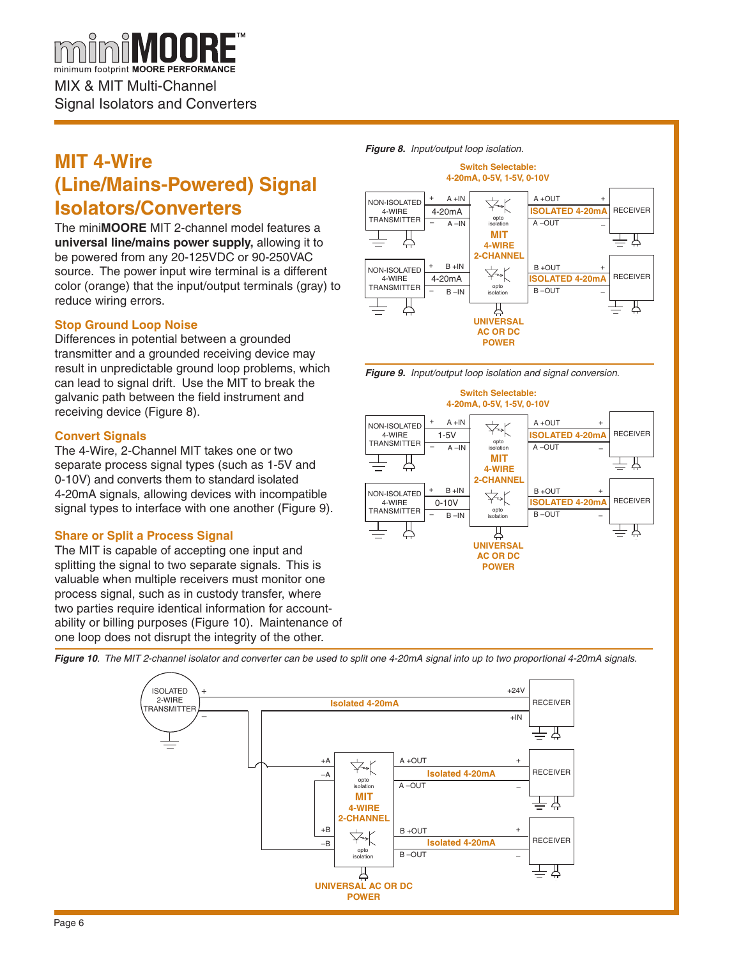MIX & MIT Multi-Channel Signal Isolators and Converters

### **MIT 4-Wire (Line/Mains-Powered) Signal Isolators/Converters**

The mini**MOORE** MIT 2-channel model features a **universal line/mains power supply,** allowing it to be powered from any 20-125VDC or 90-250VAC source. The power input wire terminal is a different color (orange) that the input/output terminals (gray) to reduce wiring errors.

### **Stop Ground Loop Noise**

Differences in potential between a grounded transmitter and a grounded receiving device may result in unpredictable ground loop problems, which can lead to signal drift. Use the MIT to break the galvanic path between the field instrument and receiving device (Figure 8).

### **Convert Signals**

The 4-Wire, 2-Channel MIT takes one or two separate process signal types (such as 1-5V and 0-10V) and converts them to standard isolated 4-20mA signals, allowing devices with incompatible signal types to interface with one another (Figure 9).

### **Share or Split a Process Signal**

The MIT is capable of accepting one input and splitting the signal to two separate signals. This is valuable when multiple receivers must monitor one process signal, such as in custody transfer, where two parties require identical information for accountability or billing purposes (Figure 10). Maintenance of one loop does not disrupt the integrity of the other.

*Figure 8. Input/output loop isolation.*







*Figure 10. The MIT 2-channel isolator and converter can be used to split one 4-20mA signal into up to two proportional 4-20mA signals.*

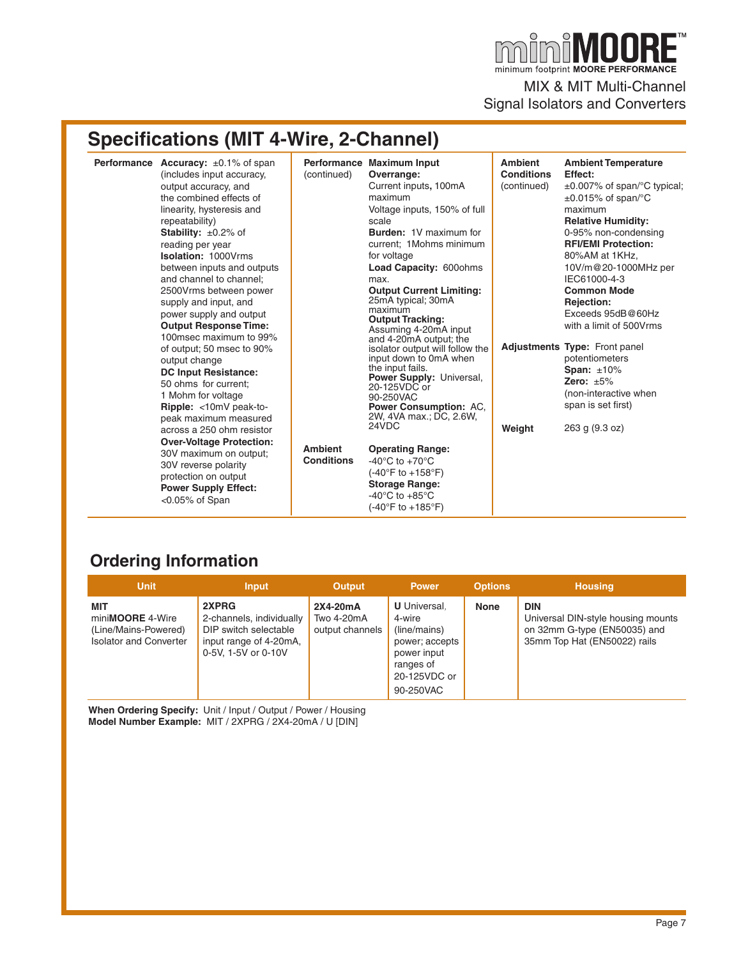$\overline{\blacksquare}^{\scriptscriptstyle{\textsf{TM}}}$ MNNF minimum footprint MOORE PERFORMANCE MIX & MIT Multi-Channel

Signal Isolators and Converters

## **Specifications (MIT 4-Wire, 2-Channel)**

| <b>Performance</b> Accuracy: $\pm 0.1\%$ of span<br>(includes input accuracy,<br>output accuracy, and<br>the combined effects of<br>linearity, hysteresis and<br>repeatability)<br><b>Stability:</b> $\pm 0.2\%$ of<br>reading per year<br><b>Isolation: 1000Vrms</b><br>between inputs and outputs<br>and channel to channel:<br>2500Vrms between power<br>supply and input, and<br>power supply and output<br><b>Output Response Time:</b><br>100msec maximum to 99% | (continued)<br><b>Ambient</b><br><b>Conditions</b> | Performance Maximum Input<br>Overrange:<br>Current inputs, 100mA<br>maximum<br>Voltage inputs, 150% of full<br>scale<br><b>Burden: 1V maximum for</b><br>current: 1 Mohms minimum<br>for voltage<br>Load Capacity: 600ohms<br>max.<br><b>Output Current Limiting:</b><br>25mA typical; 30mA<br>maximum<br><b>Output Tracking:</b><br>Assuming 4-20mA input<br>and 4-20mA output; the<br>isolator output will follow the<br>input down to 0mA when<br>the input fails.<br>Power Supply: Universal,<br>20-125VDC or<br>90-250VAC<br><b>Power Consumption: AC.</b><br>2W, 4VA max.; DC, 2.6W,<br>24VDC<br><b>Operating Range:</b><br>-40 $^{\circ}$ C to +70 $^{\circ}$ C<br>$(-40^{\circ}F to +158^{\circ}F)$<br><b>Storage Range:</b><br>-40 $^{\circ}$ C to +85 $^{\circ}$ C<br>(-40°F to +185°F) | <b>Ambient</b><br><b>Conditions</b><br>(continued) | <b>Ambient Temperature</b><br>Effect:<br>$\pm 0.007\%$ of span/°C typical;<br>$\pm 0.015\%$ of span/°C<br>maximum<br><b>Relative Humidity:</b><br>0-95% non-condensing<br><b>RFI/EMI Protection:</b><br>80%AM at 1KHz.<br>10V/m@20-1000MHz per<br>IEC61000-4-3<br><b>Common Mode</b><br><b>Rejection:</b><br>Exceeds 95dB@60Hz<br>with a limit of 500Vrms |
|------------------------------------------------------------------------------------------------------------------------------------------------------------------------------------------------------------------------------------------------------------------------------------------------------------------------------------------------------------------------------------------------------------------------------------------------------------------------|----------------------------------------------------|---------------------------------------------------------------------------------------------------------------------------------------------------------------------------------------------------------------------------------------------------------------------------------------------------------------------------------------------------------------------------------------------------------------------------------------------------------------------------------------------------------------------------------------------------------------------------------------------------------------------------------------------------------------------------------------------------------------------------------------------------------------------------------------------------|----------------------------------------------------|-----------------------------------------------------------------------------------------------------------------------------------------------------------------------------------------------------------------------------------------------------------------------------------------------------------------------------------------------------------|
| of output; 50 msec to 90%<br>output change<br><b>DC Input Resistance:</b><br>50 ohms for current:<br>1 Mohm for voltage<br>Ripple: <10mV peak-to-<br>peak maximum measured<br>across a 250 ohm resistor<br><b>Over-Voltage Protection:</b><br>30V maximum on output;<br>30V reverse polarity<br>protection on output<br><b>Power Supply Effect:</b><br>$<0.05\%$ of Span                                                                                               |                                                    |                                                                                                                                                                                                                                                                                                                                                                                                                                                                                                                                                                                                                                                                                                                                                                                                   | Weight                                             | <b>Adjustments Type: Front panel</b><br>potentiometers<br>Span: $±10\%$<br>Zero: $\pm 5\%$<br>(non-interactive when<br>span is set first)<br>263 g (9.3 oz)                                                                                                                                                                                               |

### **Ordering Information**

| <b>Unit</b>                                                                              | <b>Input</b>                                                                                                | <b>Output</b>                                    | <b>Power</b>                                                                                                             | <b>Options</b> | <b>Housing</b>                                                                                                   |
|------------------------------------------------------------------------------------------|-------------------------------------------------------------------------------------------------------------|--------------------------------------------------|--------------------------------------------------------------------------------------------------------------------------|----------------|------------------------------------------------------------------------------------------------------------------|
| MIT<br>mini <b>MOORE</b> 4-Wire<br>(Line/Mains-Powered)<br><b>Isolator and Converter</b> | 2XPRG<br>2-channels, individually<br>DIP switch selectable<br>input range of 4-20mA,<br>0-5V, 1-5V or 0-10V | 2X4-20mA<br><b>Two 4-20mA</b><br>output channels | <b>U</b> Universal.<br>4-wire<br>(line/mains)<br>power; accepts<br>power input<br>ranges of<br>20-125VDC or<br>90-250VAC | <b>None</b>    | <b>DIN</b><br>Universal DIN-style housing mounts<br>on 32mm G-type (EN50035) and<br>35mm Top Hat (EN50022) rails |

**When Ordering Specify:** Unit / Input / Output / Power / Housing **Model Number Example:** MIT / 2XPRG / 2X4-20mA / U [DIN]